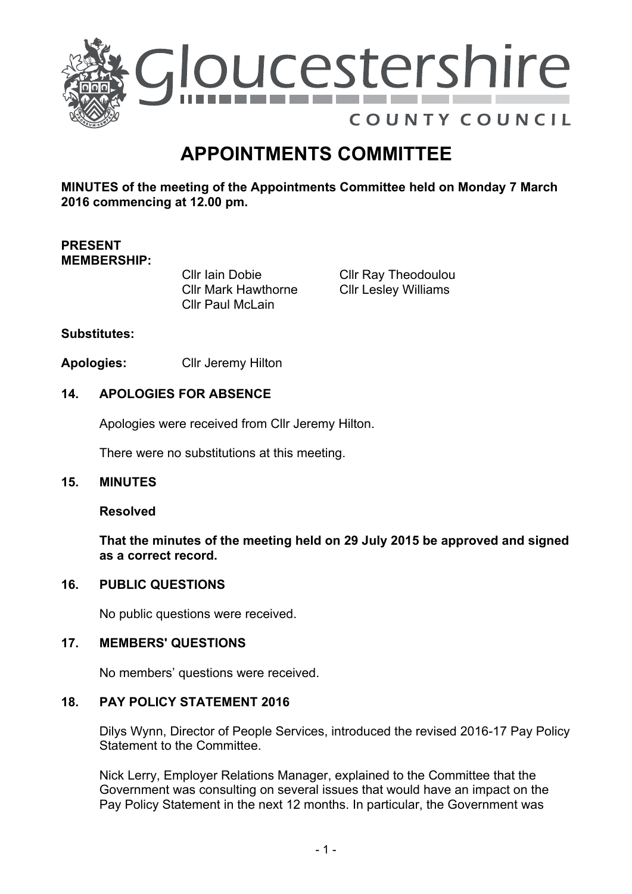

# **APPOINTMENTS COMMITTEE**

**MINUTES of the meeting of the Appointments Committee held on Monday 7 March 2016 commencing at 12.00 pm.**

# **PRESENT MEMBERSHIP:**

Cllr Iain Dobie Cllr Mark Hawthorne Cllr Paul McLain

Cllr Ray Theodoulou Cllr Lesley Williams

## **Substitutes:**

**Apologies:** Cllr Jeremy Hilton

## **14. APOLOGIES FOR ABSENCE**

Apologies were received from Cllr Jeremy Hilton.

There were no substitutions at this meeting.

#### **15. MINUTES**

#### **Resolved**

**That the minutes of the meeting held on 29 July 2015 be approved and signed as a correct record.**

#### **16. PUBLIC QUESTIONS**

No public questions were received.

#### **17. MEMBERS' QUESTIONS**

No members' questions were received.

#### **18. PAY POLICY STATEMENT 2016**

Dilys Wynn, Director of People Services, introduced the revised 2016-17 Pay Policy Statement to the Committee.

Nick Lerry, Employer Relations Manager, explained to the Committee that the Government was consulting on several issues that would have an impact on the Pay Policy Statement in the next 12 months. In particular, the Government was